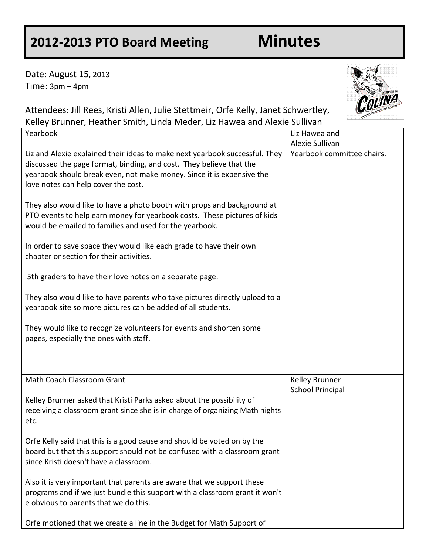## **2012-2013 PTO Board Meeting Minutes**

Date: August 15, 2013 Time: 3pm – 4pm

8+8+8+8+



Attendees: Jill Rees, Kristi Allen, Julie Stettmeir, Orfe Kelly, Janet Schwertley, Kelley Brunner, Heather Smith, Linda Meder, Liz Hawea and Alexie Sullivan

| Yearbook                                                                     | Liz Hawea and              |
|------------------------------------------------------------------------------|----------------------------|
|                                                                              | Alexie Sullivan            |
| Liz and Alexie explained their ideas to make next yearbook successful. They  | Yearbook committee chairs. |
| discussed the page format, binding, and cost. They believe that the          |                            |
| yearbook should break even, not make money. Since it is expensive the        |                            |
| love notes can help cover the cost.                                          |                            |
| They also would like to have a photo booth with props and background at      |                            |
| PTO events to help earn money for yearbook costs. These pictures of kids     |                            |
| would be emailed to families and used for the yearbook.                      |                            |
|                                                                              |                            |
| In order to save space they would like each grade to have their own          |                            |
| chapter or section for their activities.                                     |                            |
|                                                                              |                            |
| 5th graders to have their love notes on a separate page.                     |                            |
|                                                                              |                            |
| They also would like to have parents who take pictures directly upload to a  |                            |
| yearbook site so more pictures can be added of all students.                 |                            |
| They would like to recognize volunteers for events and shorten some          |                            |
| pages, especially the ones with staff.                                       |                            |
|                                                                              |                            |
|                                                                              |                            |
|                                                                              |                            |
| Math Coach Classroom Grant                                                   | Kelley Brunner             |
|                                                                              | <b>School Principal</b>    |
| Kelley Brunner asked that Kristi Parks asked about the possibility of        |                            |
| receiving a classroom grant since she is in charge of organizing Math nights |                            |
| etc.                                                                         |                            |
| Orfe Kelly said that this is a good cause and should be voted on by the      |                            |
| board but that this support should not be confused with a classroom grant    |                            |
| since Kristi doesn't have a classroom.                                       |                            |
|                                                                              |                            |
| Also it is very important that parents are aware that we support these       |                            |
| programs and if we just bundle this support with a classroom grant it won't  |                            |
| e obvious to parents that we do this.                                        |                            |
|                                                                              |                            |
| Orfe motioned that we create a line in the Budget for Math Support of        |                            |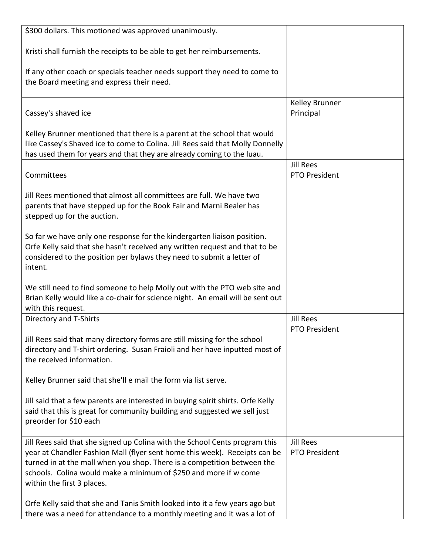| \$300 dollars. This motioned was approved unanimously.                                                                                                                                                                                                                                                                                 |                                          |
|----------------------------------------------------------------------------------------------------------------------------------------------------------------------------------------------------------------------------------------------------------------------------------------------------------------------------------------|------------------------------------------|
| Kristi shall furnish the receipts to be able to get her reimbursements.                                                                                                                                                                                                                                                                |                                          |
| If any other coach or specials teacher needs support they need to come to<br>the Board meeting and express their need.                                                                                                                                                                                                                 |                                          |
| Cassey's shaved ice                                                                                                                                                                                                                                                                                                                    | Kelley Brunner<br>Principal              |
| Kelley Brunner mentioned that there is a parent at the school that would<br>like Cassey's Shaved ice to come to Colina. Jill Rees said that Molly Donnelly<br>has used them for years and that they are already coming to the luau.                                                                                                    |                                          |
| Committees                                                                                                                                                                                                                                                                                                                             | <b>Jill Rees</b><br><b>PTO President</b> |
| Jill Rees mentioned that almost all committees are full. We have two<br>parents that have stepped up for the Book Fair and Marni Bealer has<br>stepped up for the auction.                                                                                                                                                             |                                          |
| So far we have only one response for the kindergarten liaison position.<br>Orfe Kelly said that she hasn't received any written request and that to be<br>considered to the position per bylaws they need to submit a letter of<br>intent.                                                                                             |                                          |
| We still need to find someone to help Molly out with the PTO web site and<br>Brian Kelly would like a co-chair for science night. An email will be sent out<br>with this request.                                                                                                                                                      |                                          |
| Directory and T-Shirts                                                                                                                                                                                                                                                                                                                 | <b>Jill Rees</b><br><b>PTO President</b> |
| Jill Rees said that many directory forms are still missing for the school<br>directory and T-shirt ordering. Susan Fraioli and her have inputted most of<br>the received information.                                                                                                                                                  |                                          |
| Kelley Brunner said that she'll e mail the form via list serve.                                                                                                                                                                                                                                                                        |                                          |
| Jill said that a few parents are interested in buying spirit shirts. Orfe Kelly<br>said that this is great for community building and suggested we sell just<br>preorder for \$10 each                                                                                                                                                 |                                          |
| Jill Rees said that she signed up Colina with the School Cents program this<br>year at Chandler Fashion Mall (flyer sent home this week). Receipts can be<br>turned in at the mall when you shop. There is a competition between the<br>schools. Colina would make a minimum of \$250 and more if w come<br>within the first 3 places. | <b>Jill Rees</b><br><b>PTO President</b> |
| Orfe Kelly said that she and Tanis Smith looked into it a few years ago but<br>there was a need for attendance to a monthly meeting and it was a lot of                                                                                                                                                                                |                                          |